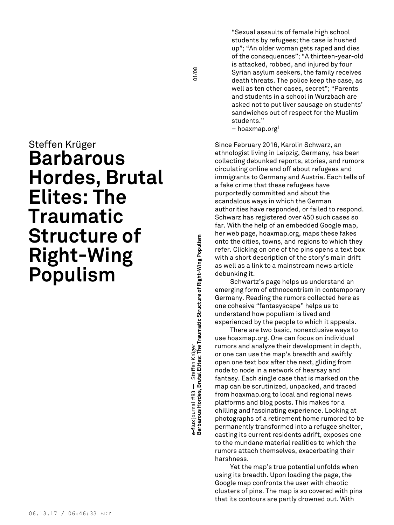# Steffen Krüger **Barbarous Hordes, Brutal Elites: The Traumatic Structure of Right-Wing Populism**

**Barbarous Hordes, Brutal Elites: The Traumatic Structure of Right-Wing Populism** 01/08 s-flux journal #83 — Steffen Krüger<br>Barbarous Hordes, Brutal Elites: The Traumatic Structure of Right-Wing Populism **e-flux** journal #83 — Steffen Krüger

01/08

"Sexual assaults of female high school students by refugees; the case is hushed up"; "An older woman gets raped and dies of the consequences"; "A thirteen-year-old is attacked, robbed, and injured by four Syrian asylum seekers, the family receives death threats. The police keep the case, as well as ten other cases, secret"; "Parents and students in a school in Wurzbach are asked not to put liver sausage on students' sandwiches out of respect for the Muslim students."

– hoaxmap.org 1

Since February 2016, Karolin Schwarz, an ethnologist living in Leipzig, Germany, has been collecting debunked reports, stories, and rumors circulating online and off about refugees and immigrants to Germany and Austria. Each tells of a fake crime that these refugees have purportedly committed and about the scandalous ways in which the German authorities have responded, or failed to respond. Schwarz has registered over 450 such cases so far. With the help of an embedded Google map, her web page, hoaxmap.org, maps these fakes onto the cities, towns, and regions to which they refer. Clicking on one of the pins opens a text box with a short description of the story's main drift as well as a link to a mainstream news article debunking it.

Schwartz's page helps us understand an emerging form of ethnocentrism in contemporary Germany. Reading the rumors collected here as one cohesive "fantasyscape" helps us to understand how populism is lived and experienced by the people to which it appeals.

There are two basic, nonexclusive ways to use hoaxmap.org. One can focus on individual rumors and analyze their development in depth, or one can use the map's breadth and swiftly open one text box after the next, gliding from node to node in a network of hearsay and fantasy. Each single case that is marked on the map can be scrutinized, unpacked, and traced from hoaxmap.org to local and regional news platforms and blog posts. This makes for a chilling and fascinating experience. Looking at photographs of a retirement home rumored to be permanently transformed into a refugee shelter, casting its current residents adrift, exposes one to the mundane material realities to which the rumors attach themselves, exacerbating their harshness.

Yet the map's true potential unfolds when using its breadth. Upon loading the page, the Google map confronts the user with chaotic clusters of pins. The map is so covered with pins that its contours are partly drowned out. With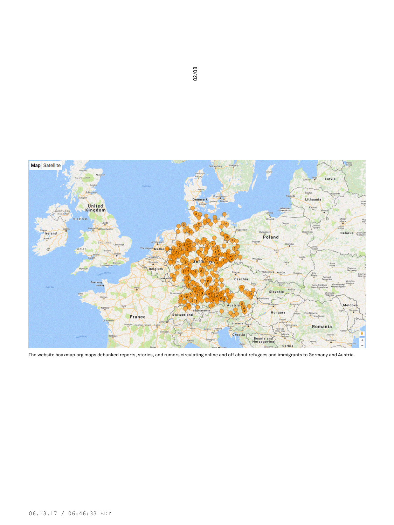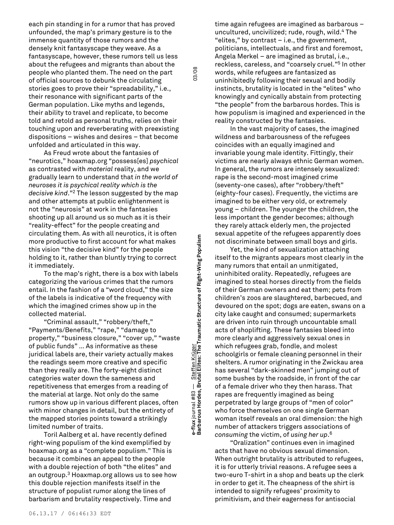each pin standing in for a rumor that has proved unfounded, the map's primary gesture is to the immense quantity of those rumors and the densely knit fantasyscape they weave. As a fantasyscape, however, these rumors tell us less about the refugees and migrants than about the people who planted them. The need on the part of official sources to debunk the circulating stories goes to prove their "spreadability," i.e., their resonance with significant parts of the German population. Like myths and legends, their ability to travel and replicate, to become told and retold as personal truths, relies on their touching upon and reverberating with preexisting dispositions – wishes and desires – that become unfolded and articulated in this way.

As Freud wrote about the fantasies of "neurotics," hoaxmap.org "possess[es] *psychical* as contrasted with *material* reality, and we gradually learn to understand that *in the world of neuroses it is psychical reality which is the decisive kind*." <sup>2</sup> The lesson suggested by the map and other attempts at public enlightenment is not the "neurosis" at work in the fantasies shooting up all around us so much as it is their "reality-effect" for the people creating and circulating them. As with all neurotics, it is often more productive to first account for what makes this vision "the decisive kind" for the people holding to it, rather than bluntly trying to correct it immediately.

To the map's right, there is a box with labels categorizing the various crimes that the rumors entail. In the fashion of a "word cloud," the size of the labels is indicative of the frequency with which the imagined crimes show up in the collected material.

"Criminal assault," "robbery/theft," "Payments/Benefits," "rape," "damage to property," "business closure," "cover up," "waste of public funds" … As informative as these juridical labels are, their variety actually makes the readings seem more creative and specific than they really are. The forty-eight distinct categories water down the sameness and repetitiveness that emerges from a reading of the material at large. Not only do the same rumors show up in various different places, often with minor changes in detail, but the entirety of the mapped stories points toward a strikingly limited number of traits.

Toril Aalberg et al. have recently defined right-wing populism of the kind exemplified by hoaxmap.org as a "complete populism." This is because it combines an appeal to the people with a double rejection of both "the elites" and an outgroup. <sup>3</sup> Hoaxmap.org allows us to see how this double rejection manifests itself in the structure of populist rumor along the lines of barbarism and brutality respectively. Time and

**Barbarous Hordes, Brutal Elites: The Traumatic Structure of Right-Wing Populism** 03/08 e-flux journal #83 — <u>Steffen Krüger</u><br>Barbarous Hordes, Brutal Elites: The Traumatic Structure of Right-Wing Populism **e-flux** journal #83 — Steffen Krüger

03/08

time again refugees are imagined as barbarous – uncultured, uncivilized; rude, rough, wild. <sup>4</sup> The "elites," by contrast – i.e., the government, politicians, intellectuals, and first and foremost, Angela Merkel – are imagined as brutal, i.e., reckless, careless, and "coarsely cruel." <sup>5</sup> In other words, while refugees are fantasized as uninhibitedly following their sexual and bodily instincts, brutality is located in the "elites" who knowingly and cynically abstain from protecting "the people" from the barbarous hordes. This is how populism is imagined and experienced in the reality constructed by the fantasies.

In the vast majority of cases, the imagined wildness and barbarousness of the refugees coincides with an equally imagined and invariable young male identity. Fittingly, their victims are nearly always ethnic German women. In general, the rumors are intensely sexualized: rape is the second-most imagined crime (seventy-one cases), after "robbery/theft" (eighty-four cases). Frequently, the victims are imagined to be either very old, or extremely young – children. The younger the children, the less important the gender becomes; although they rarely attack elderly men, the projected sexual appetite of the refugees apparently does not discriminate between small boys and girls.

Yet, the kind of sexualization attaching itself to the migrants appears most clearly in the many rumors that entail an unmitigated, uninhibited orality. Repeatedly, refugees are imagined to steal horses directly from the fields of their German owners and eat them; pets from children's zoos are slaughtered, barbecued, and devoured on the spot; dogs are eaten, swans on a city lake caught and consumed; supermarkets are driven into ruin through uncountable small acts of shoplifting. These fantasies bleed into more clearly and aggressively sexual ones in which refugees grab, fondle, and molest schoolgirls or female cleaning personnel in their shelters. A rumor originating in the Zwickau area has several "dark-skinned men" jumping out of some bushes by the roadside, in front of the car of a female driver who they then harass. That rapes are frequently imagined as being perpetrated by large groups of "men of color" who force themselves on one single German woman itself reveals an oral dimension: the high number of attackers triggers associations of *consuming* the victim, of *using her up*. 6

"Oralization" continues even in imagined acts that have no obvious sexual dimension. When outright brutality is attributed to refugees, it is for utterly trivial reasons. A refugee sees a two-euro T-shirt in a shop and beats up the clerk in order to get it. The cheapness of the shirt is intended to signify refugees' proximity to primitivism, and their eagerness for antisocial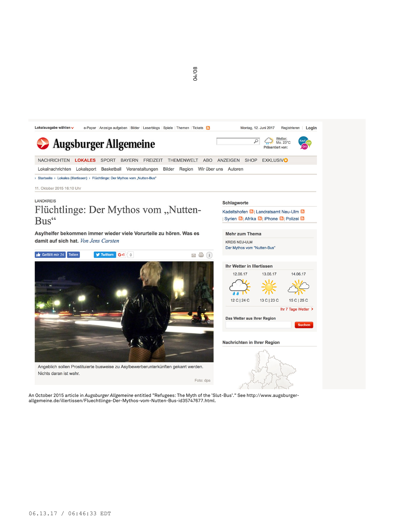

An October 2015 article in *Augsburger Allgemeine* entitled "Refugees: The Myth of the 'Slut-Bus'." See http://www.augsburger-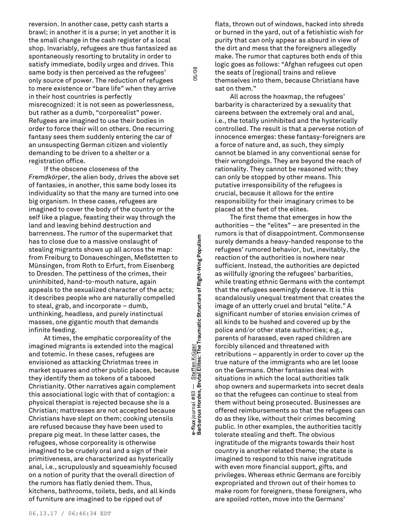reversion. In another case, petty cash starts a brawl; in another it is a purse; in yet another it is the small change in the cash register of a local shop. Invariably, refugees are thus fantasized as spontaneously resorting to brutality in order to satisfy immediate, bodily urges and drives. This same body is then perceived as the refugees' only source of power. The reduction of refugees to mere existence or "bare life" when they arrive in their host countries is perfectly misrecognized: it is not seen as powerlessness, but rather as a dumb, "corporealist" power. Refugees are imagined to use their bodies in order to force their will on others. One recurring fantasy sees them suddenly entering the car of an unsuspecting German citizen and violently demanding to be driven to a shelter or a registration office.

If the obscene closeness of the *Fremdkörper*, the alien body, drives the above set of fantasies, in another, this same body loses its individuality so that the many are turned into one big organism. In these cases, refugees are imagined to cover the body of the country or the self like a plague, feasting their way through the land and leaving behind destruction and barrenness. The rumor of the supermarket that has to close due to a massive onslaught of stealing migrants shows up all across the map: from Freiburg to Donaueschingen, Meßstetten to Münsingen, from Roth to Erfurt, from Eisenberg to Dresden. The pettiness of the crimes, their uninhibited, hand-to-mouth nature, again appeals to the sexualized character of the acts; it describes people who are naturally compelled to steal, grab, and incorporate – dumb, unthinking, headless, and purely instinctual masses, one gigantic mouth that demands infinite feeding.

At times, the emphatic corporeality of the imagined migrants is extended into the magical and totemic. In these cases, refugees are envisioned as attacking Christmas trees in market squares and other public places, because they identify them as tokens of a tabooed Christianity. Other narratives again complement this associational logic with that of contagion: a physical therapist is rejected because she is a Christian; mattresses are not accepted because Christians have slept on them; cooking utensils are refused because they have been used to prepare pig meat. In these latter cases, the refugees, whose corporeality is otherwise imagined to be crudely oral and a sign of their primitiveness, are characterized as hysterically anal, i.e., scrupulously and squeamishly focused on a notion of purity that the overall direction of the rumors has flatly denied them. Thus, kitchens, bathrooms, toilets, beds, and all kinds of furniture are imagined to be ripped out of

**Barbarous Hordes, Brutal Elites: The Traumatic Structure of Right-Wing Populism** 05/08 e-flux journal #83 — Steffen Kr<u>üger</u><br>Barbarous Hordes, Brutal Elites: The Traumatic Structure of Right-Wing Populism **e-flux** journal #83 — Steffen Krüger

05/08

flats, thrown out of windows, hacked into shreds or burned in the yard, out of a fetishistic wish for purity that can only appear as absurd in view of the dirt and mess that the foreigners allegedly make. The rumor that captures both ends of this logic goes as follows: "Afghan refugees cut open the seats of [regional] trains and relieve themselves into them, because Christians have sat on them."

All across the hoaxmap, the refugees' barbarity is characterized by a sexuality that careens between the extremely oral and anal, i.e., the totally uninhibited and the hysterically controlled. The result is that a perverse notion of innocence emerges: these fantasy-foreigners are a force of nature and, as such, they simply cannot be blamed in any conventional sense for their wrongdoings. They are beyond the reach of rationality. They cannot be reasoned with; they can only be stopped by other means. This putative irresponsibility of the refugees is crucial, because it allows for the entire responsibility for their imaginary crimes to be placed at the feet of the elites.

The first theme that emerges in how the authorities – the "elites" – are presented in the rumors is that of disappointment. Commonsense surely demands a heavy-handed response to the refugees' rumored behavior, but, inevitably, the reaction of the authorities is nowhere near sufficient. Instead, the authorities are depicted as willfully ignoring the refugees' barbarities, while treating ethnic Germans with the contempt that the refugees seemingly deserve. It is this scandalously unequal treatment that creates the image of an utterly cruel and brutal "elite." A significant number of stories envision crimes of all kinds to be hushed and covered up by the police and/or other state authorities; e.g., parents of harassed, even raped children are forcibly silenced and threatened with retributions – apparently in order to cover up the true nature of the immigrants who are let loose on the Germans. Other fantasies deal with situations in which the local authorities talk shop owners and supermarkets into secret deals so that the refugees can continue to steal from them without being prosecuted. Businesses are offered reimbursements so that the refugees can do as they like, without their crimes becoming public. In other examples, the authorities tacitly tolerate stealing and theft. The obvious ingratitude of the migrants towards their host country is another related theme; the state is imagined to respond to this naive ingratitude with even more financial support, gifts, and privileges. Whereas ethnic Germans are forcibly expropriated and thrown out of their homes to make room for foreigners, these foreigners, who are spoiled rotten, move into the Germans'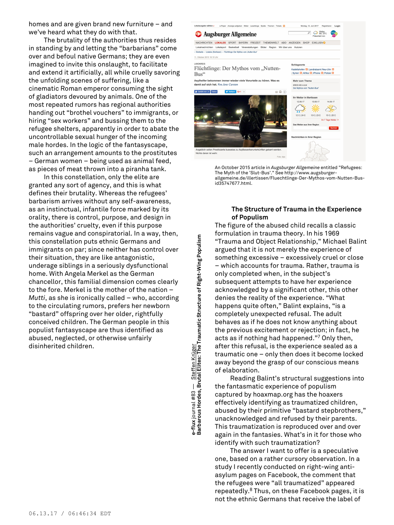homes and are given brand new furniture – and we've heard what they do with that.

The brutality of the authorities thus resides in standing by and letting the "barbarians" come over and befoul native Germans; they are even imagined to invite this onslaught, to facilitate and extend it artificially, all while cruelly savoring the unfolding scenes of suffering, like a cinematic Roman emperor consuming the sight of gladiators devoured by animals. One of the most repeated rumors has regional authorities handing out "brothel vouchers" to immigrants, or hiring "sex workers" and bussing them to the refugee shelters, apparently in order to abate the uncontrollable sexual hunger of the incoming male hordes. In the logic of the fantasyscape, such an arrangement amounts to the prostitutes – German women – being used as animal feed, as pieces of meat thrown into a piranha tank.

In this constellation, only the elite are granted any sort of agency, and this is what defines their brutality. Whereas the refugees' barbarism arrives without any self-awareness, as an instinctual, infantile force marked by its orality, there is control, purpose, and design in the authorities' cruelty, even if this purpose remains vague and conspiratorial. In a way, then, this constellation puts ethnic Germans and immigrants on par; since neither has control over their situation, they are like antagonistic, underage siblings in a seriously dysfunctional home. With Angela Merkel as the German chancellor, this familial dimension comes clearly to the fore. Merkel is the mother of the nation – *Mutti*, as she is ironically called – who, according to the circulating rumors, prefers her newborn "bastard" offspring over her older, rightfully conceived children. The German people in this populist fantasyscape are thus identified as abused, neglected, or otherwise unfairly disinherited children.





An October 2015 article in *Augsburger Allgemeine* entitled "Refugees: The Myth of the 'Slut-Bus'." See http://www.augsburgerallgemeine.de/illertissen/Fluechtlinge-Der-Mythos-vom-Nutten-Busid35747677.html.

### **The Structure of Trauma in the Experience of Populism**

The figure of the abused child recalls a classic formulation in trauma theory. In his 1969 "Trauma and Object Relationship," Michael Balint argued that it is not merely the experience of something excessive – excessively cruel or close – which accounts for trauma. Rather, trauma is only completed when, in the subject's subsequent attempts to have her experience acknowledged by a significant other, this other denies the reality of the experience. "What happens quite often," Balint explains, "is a completely unexpected refusal. The adult behaves as if he does not know anything about the previous excitement or rejection; in fact, he acts as if nothing had happened." <sup>7</sup> Only then, after this refusal, is the experience sealed as a traumatic one – only then does it become locked away beyond the grasp of our conscious means of elaboration.

Reading Balint's structural suggestions into the fantasmatic experience of populism captured by hoaxmap.org has the hoaxers effectively identifying as traumatized children, abused by their primitive "bastard stepbrothers," unacknowledged and refused by their parents. This traumatization is reproduced over and over again in the fantasies. What's in it for those who identify with such traumatization?

The answer I want to offer is a speculative one, based on a rather cursory observation. In a study I recently conducted on right-wing antiasylum pages on Facebook, the comment that the refugees were "all traumatized" appeared repeatedly. <sup>8</sup> Thus, on these Facebook pages, it is not the ethnic Germans that receive the label of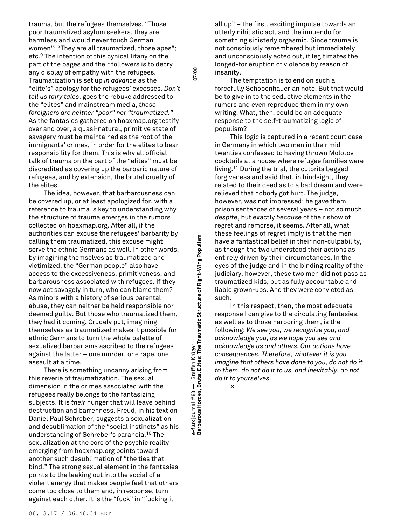trauma, but the refugees themselves. "Those poor traumatized asylum seekers, they are harmless and would never touch German women"; "They are all traumatized, those apes"; etc. <sup>9</sup> The intention of this cynical litany on the part of the pages and their followers is to decry any display of empathy with the refugees. Traumatization is set up *in advance* as the "elite's" apology for the refugees' excesses. *Don't tell us fairy tales*, goes the rebuke addressed to the "elites" and mainstream media, *those foreigners are neither "poor" nor "traumatized."* As the fantasies gathered on hoaxmap.org testify over and over, a quasi-natural, primitive state of savagery must be maintained as the root of the immigrants' crimes, in order for the elites to bear responsibility for them. This is why all official talk of trauma on the part of the "elites" must be discredited as covering up the barbaric nature of refugees, and by extension, the brutal cruelty of the elites.

The idea, however, that barbarousness can be covered up, or at least apologized for, with a reference to trauma is key to understanding why the structure of trauma emerges in the rumors collected on hoaxmap.org. After all, if the authorities can excuse the refugees' barbarity by calling them traumatized, this excuse might serve the ethnic Germans as well. In other words, by imagining themselves as traumatized and victimized, the "German people" also have access to the excessiveness, primitiveness, and barbarousness associated with refugees. If they now act savagely in turn, who can blame them? As minors with a history of serious parental abuse, they can neither be held responsible nor deemed guilty. But those who traumatized them, they had it coming. Crudely put, imagining themselves as traumatized makes it possible for ethnic Germans to turn the whole palette of sexualized barbarisms ascribed to the refugees against the latter – one murder, one rape, one assault at a time.

There is something uncanny arising from this reverie of traumatization. The sexual dimension in the crimes associated with the refugees really belongs to the fantasizing subjects. It is *their* hunger that will leave behind destruction and barrenness. Freud, in his text on Daniel Paul Schreber, suggests a sexualization and desublimation of the "social instincts" as his understanding of Schreber's paranoia. <sup>10</sup> The sexualization at the core of the psychic reality emerging from hoaxmap.org points toward another such desublimation of "the ties that bind." The strong sexual element in the fantasies points to the leaking out into the social of a violent energy that makes people feel that others come too close to them and, in response, turn against each other. It is the "fuck" in "fucking it

**Barbarous Hordes, Brutal Elites: The Traumatic Structure of Right-Wing Populism** 07/08 e-flux journal #83 — Steffen Kr<u>üger</u><br>Barbarous Hordes, Brutal Elites: The Traumatic Structure of Right-Wing Populism **e-flux** journal #83 — Steffen Krüger

07/08

all up" – the first, exciting impulse towards an utterly nihilistic act, and the innuendo for something sinisterly orgasmic. Since trauma is not consciously remembered but immediately and unconsciously acted out, it legitimates the longed-for eruption of violence by reason of insanity.

The temptation is to end on such a forcefully Schopenhauerian note. But that would be to give in to the seductive elements in the rumors and even reproduce them in my own writing. What, then, could be an adequate response to the self-traumatizing logic of populism?

This logic is captured in a recent court case in Germany in which two men in their midtwenties confessed to having thrown Molotov cocktails at a house where refugee families were living. <sup>11</sup> During the trial, the culprits begged forgiveness and said that, in hindsight, they related to their deed as to a bad dream and were relieved that nobody got hurt. The judge, however, was not impressed; he gave them prison sentences of several years – not so much *despite*, but exactly *because* of their show of regret and remorse, it seems. After all, what these feelings of regret imply is that the men have a fantastical belief in their non-culpability, as though the two understood their actions as entirely driven by their circumstances. In the eyes of the judge and in the binding reality of the judiciary, however, these two men did not pass as traumatized kids, but as fully accountable and liable grown-ups. And they were convicted as such.

In this respect, then, the most adequate response I can give to the circulating fantasies, as well as to those harboring them, is the following: *We see you, we recognize you, and acknowledge you, as we hope you see and acknowledge us and others. Our actions have consequences. Therefore, whatever it is you imagine that others have done to you, do not do it to them, do not do it to us, and inevitably, do not do it to yourselves.*

**×**